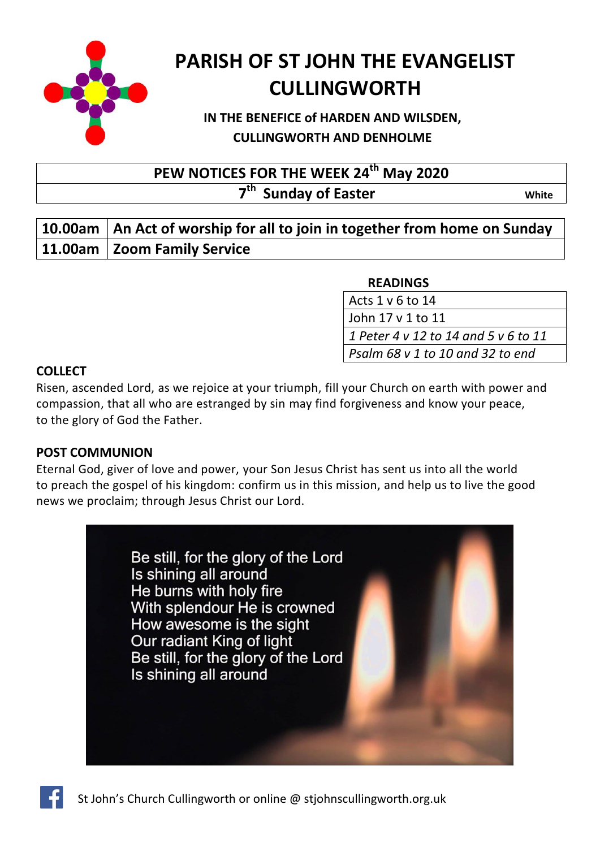

# **PARISH OF ST JOHN THE EVANGELIST CULLINGWORTH**

## **IN THE BENEFICE of HARDEN AND WILSDEN, CULLINGWORTH AND DENHOLME**

# **PEW NOTICES FOR THE WEEK 24th May 2020**

**17 z<sup>th</sup> Sunday of Easter <b>CONS** White

| $\mid$ 10.00am $\mid$ An Act of worship for all to join in together from home on Sunday |
|-----------------------------------------------------------------------------------------|
| $\vert$ 11.00am $\vert$ Zoom Family Service                                             |

## **READINGS**

Acts  $1 v 6 t 0 14$ John 17 v 1 to 11 411 Lord Jesus Christ, you have come to us *1 Peter 4 v 12 to 14 and 5 v 6 to 11* Bless the Lord my soul *Psalm 68 v 1 to 10 and 32 to end*

## **COLLECT**

Risen, ascended Lord, as we rejoice at your triumph, fill your Church on earth with power and compassion, that all who are estranged by sin may find forgiveness and know your peace, to the glory of God the Father.

## **POST COMMUNION**

Eternal God, giver of love and power, your Son Jesus Christ has sent us into all the world to preach the gospel of his kingdom: confirm us in this mission, and help us to live the good news we proclaim; through Jesus Christ our Lord.



St John's Church Cullingworth or online @ stjohnscullingworth.org.uk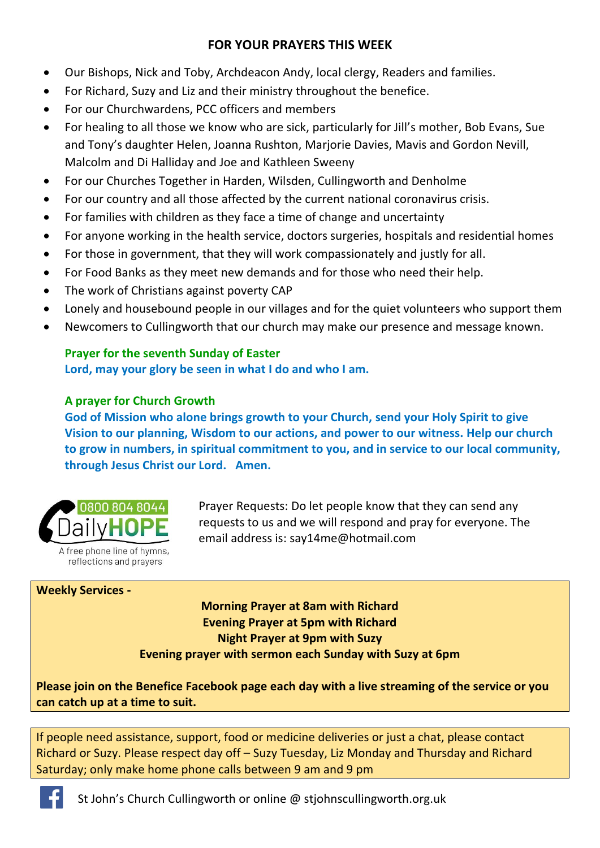## **FOR YOUR PRAYERS THIS WEEK**

- Our Bishops, Nick and Toby, Archdeacon Andy, local clergy, Readers and families.
- For Richard, Suzy and Liz and their ministry throughout the benefice.
- For our Churchwardens, PCC officers and members
- For healing to all those we know who are sick, particularly for Jill's mother, Bob Evans, Sue and Tony's daughter Helen, Joanna Rushton, Marjorie Davies, Mavis and Gordon Nevill, Malcolm and Di Halliday and Joe and Kathleen Sweeny
- For our Churches Together in Harden, Wilsden, Cullingworth and Denholme
- For our country and all those affected by the current national coronavirus crisis.
- For families with children as they face a time of change and uncertainty
- For anyone working in the health service, doctors surgeries, hospitals and residential homes
- For those in government, that they will work compassionately and justly for all.
- For Food Banks as they meet new demands and for those who need their help.
- The work of Christians against poverty CAP
- Lonely and housebound people in our villages and for the quiet volunteers who support them
- Newcomers to Cullingworth that our church may make our presence and message known.

**Prayer for the seventh Sunday of Easter Lord, may your glory be seen in what I do and who I am.**

## **A prayer for Church Growth**

**God of Mission who alone brings growth to your Church, send your Holy Spirit to give Vision to our planning, Wisdom to our actions, and power to our witness. Help our church to grow in numbers, in spiritual commitment to you, and in service to our local community, through Jesus Christ our Lord. Amen.**



Prayer Requests: Do let people know that they can send any requests to us and we will respond and pray for everyone. The email address is: [say14me@hotmail.com](mailto:say14me@hotmail.com)

A free phone line of hymns, reflections and prayers

## **Weekly Services -**

## **Morning Prayer at 8am with Richard Evening Prayer at 5pm with Richard Night Prayer at 9pm with Suzy Evening prayer with sermon each Sunday with Suzy at 6pm**

**Please join on the Benefice Facebook page each day with a live streaming of the service or you can catch up at a time to suit.**

If people need assistance, support, food or medicine deliveries or just a chat, please contact Richard or Suzy. Please respect day off – Suzy Tuesday, Liz Monday and Thursday and Richard Saturday; only make home phone calls between 9 am and 9 pm

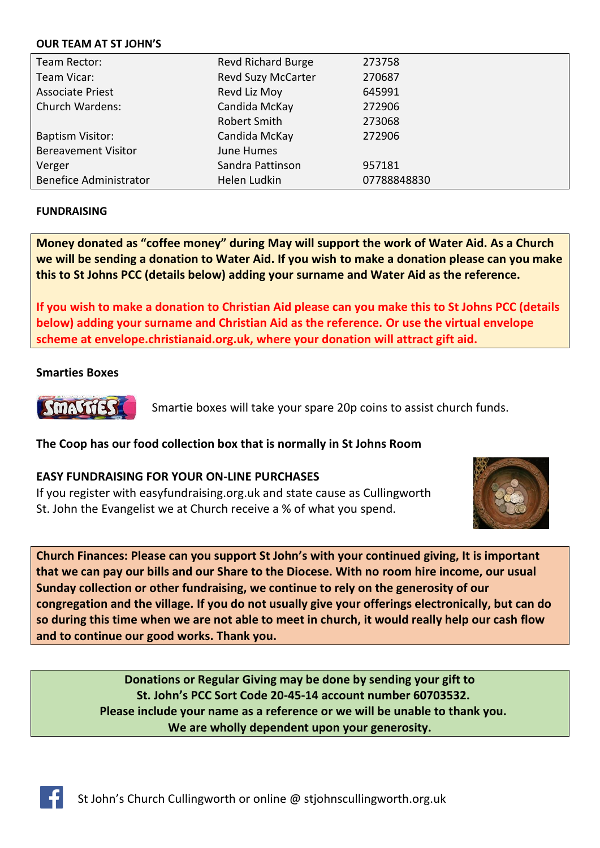#### **OUR TEAM AT ST JOHN'S**

| Team Rector:                  | <b>Revd Richard Burge</b> | 273758      |
|-------------------------------|---------------------------|-------------|
| Team Vicar:                   | <b>Revd Suzy McCarter</b> | 270687      |
| <b>Associate Priest</b>       | Revd Liz Moy              | 645991      |
| <b>Church Wardens:</b>        | Candida McKay             | 272906      |
|                               | Robert Smith              | 273068      |
| <b>Baptism Visitor:</b>       | Candida McKay             | 272906      |
| <b>Bereavement Visitor</b>    | June Humes                |             |
| Verger                        | Sandra Pattinson          | 957181      |
| <b>Benefice Administrator</b> | Helen Ludkin              | 07788848830 |

#### **FUNDRAISING**

**Money donated as "coffee money" during May will support the work of Water Aid. As a Church we will be sending a donation to Water Aid. If you wish to make a donation please can you make this to St Johns PCC (details below) adding your surname and Water Aid as the reference.**

**If you wish to make a donation to Christian Aid please can you make this to St Johns PCC (details below) adding your surname and Christian Aid as the reference. Or use the virtual envelope scheme at envelope.christianaid.org.uk, where your donation will attract gift aid.**

#### **Smarties Boxes**

SMASHES

Smartie boxes will take your spare 20p coins to assist church funds.

#### **The Coop has our food collection box that is normally in St Johns Room**

#### **EASY FUNDRAISING FOR YOUR ON-LINE PURCHASES**

If you register with easyfundraising.org.uk and state cause as Cullingworth St. John the Evangelist we at Church receive a % of what you spend.



**Church Finances: Please can you support St John's with your continued giving, It is important that we can pay our bills and our Share to the Diocese. With no room hire income, our usual Sunday collection or other fundraising, we continue to rely on the generosity of our congregation and the village. If you do not usually give your offerings electronically, but can do so during this time when we are not able to meet in church, it would really help our cash flow and to continue our good works. Thank you.**

> **Donations or Regular Giving may be done by sending your gift to St. John's PCC Sort Code 20-45-14 account number 60703532. Please include your name as a reference or we will be unable to thank you. We are wholly dependent upon your generosity.**

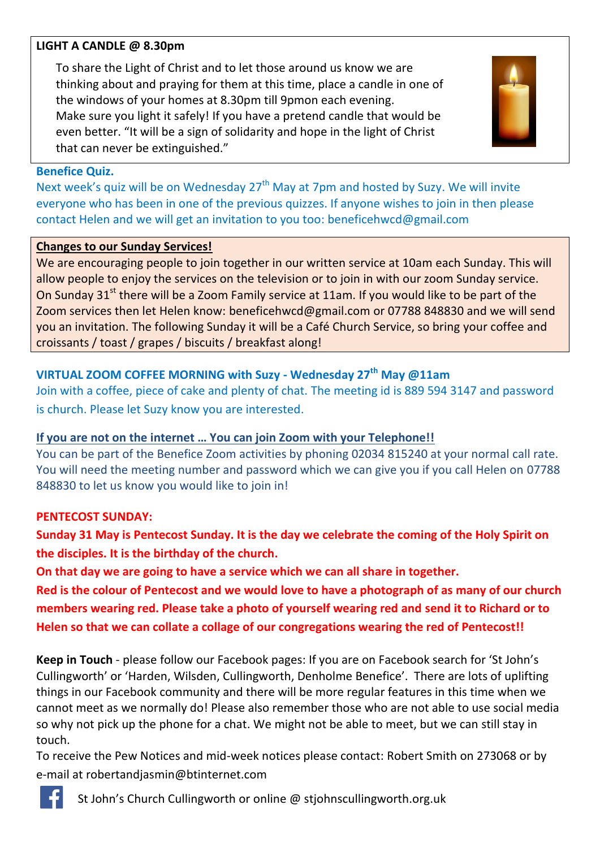#### **LIGHT A CANDLE @ 8.30pm**

To share the Light of Christ and to let those around us know we are thinking about and praying for them at this time, place a candle in one of the windows of your homes at 8.30pm till 9pmon each evening. Make sure you light it safely! If you have a pretend candle that would be even better. "It will be a sign of solidarity and hope in the light of Christ that can never be extinguished."



#### **Benefice Quiz.**

Next week's quiz will be on Wednesday  $27<sup>th</sup>$  May at 7pm and hosted by Suzy. We will invite everyone who has been in one of the previous quizzes. If anyone wishes to join in then please contact Helen and we will get an invitation to you too: [beneficehwcd@gmail.com](mailto:beneficehwcd@gmail.com)

#### **Changes to our Sunday Services!**

We are encouraging people to join together in our written service at 10am each Sunday. This will allow people to enjoy the services on the television or to join in with our zoom Sunday service. On Sunday 31<sup>st</sup> there will be a Zoom Family service at 11am. If you would like to be part of the Zoom services then let Helen know: [beneficehwcd@gmail.com](mailto:beneficehwcd@gmail.com) or 07788 848830 and we will send you an invitation. The following Sunday it will be a Café Church Service, so bring your coffee and croissants / toast / grapes / biscuits / breakfast along!

#### **VIRTUAL ZOOM COFFEE MORNING with Suzy - Wednesday 27th May @11am**

Join with a coffee, piece of cake and plenty of chat. The meeting id is 889 594 3147 and password is church. Please let Suzy know you are interested.

#### **If you are not on the internet … You can join Zoom with your Telephone!!**

You can be part of the Benefice Zoom activities by phoning 02034 815240 at your normal call rate. You will need the meeting number and password which we can give you if you call Helen on 07788 848830 to let us know you would like to join in!

#### **PENTECOST SUNDAY:**

**Sunday 31 May is Pentecost Sunday. It is the day we celebrate the coming of the Holy Spirit on the disciples. It is the birthday of the church.**

**On that day we are going to have a service which we can all share in together.** 

**Red is the colour of Pentecost and we would love to have a photograph of as many of our church members wearing red. Please take a photo of yourself wearing red and send it to Richard or to Helen so that we can collate a collage of our congregations wearing the red of Pentecost!!**

**Keep in Touch** - please follow our Facebook pages: If you are on Facebook search for 'St John's Cullingworth' or 'Harden, Wilsden, Cullingworth, Denholme Benefice'. There are lots of uplifting things in our Facebook community and there will be more regular features in this time when we cannot meet as we normally do! Please also remember those who are not able to use social media so why not pick up the phone for a chat. We might not be able to meet, but we can still stay in touch.

To receive the Pew Notices and mid-week notices please contact: Robert Smith on 273068 or by e-mail at [robertandjasmin@btinternet.com](mailto:robertandjasmin@btinternet.com)



St John's Church Cullingworth or online @ stjohnscullingworth.org.uk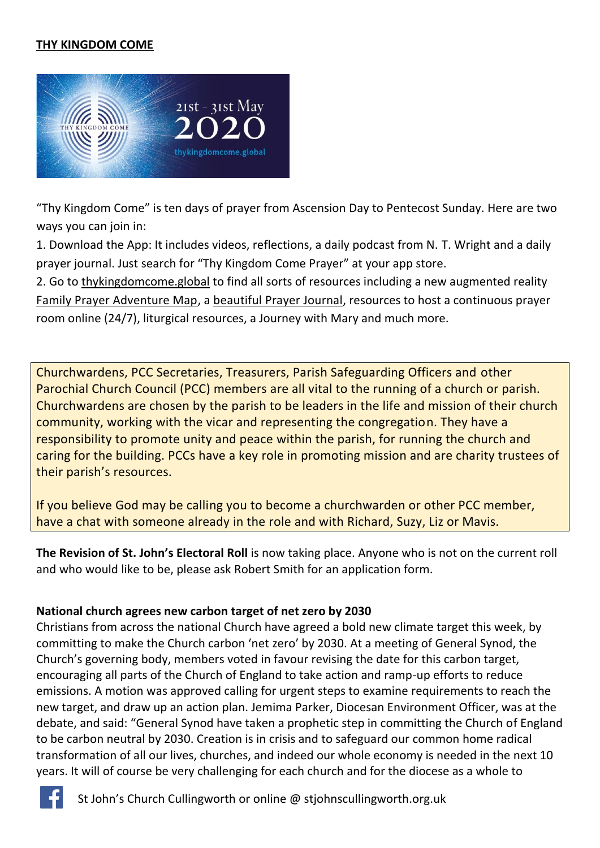#### **THY KINGDOM COME**



"Thy Kingdom Come" is ten days of prayer from Ascension Day to Pentecost Sunday. Here are two ways you can join in:

1. Download the App: It includes videos, reflections, a daily podcast from N. T. Wright and a daily prayer journal. Just search for "Thy Kingdom Come Prayer" at your app store.

2. Go to [thykingdomcome.global](https://nam11.safelinks.protection.outlook.com/?url=https%3A%2F%2Fwww.thykingdomcome.global%2F&data=02%7C01%7C%7Ccf6ee23f52ee4e61728908d7fb658299%7C84df9e7fe9f640afb435aaaaaaaaaaaa%7C1%7C0%7C637254285705217686&sdata=TAqiESDGjtJBN9ArD1hSMnijQBX1mzWUqwMhHvrIeGs%3D&reserved=0) to find all sorts of resources including a new augmented reality [Family Prayer Adventure Map,](https://nam11.safelinks.protection.outlook.com/?url=https%3A%2F%2Fwww.thykingdomcome.global%2Fsites%2Fdefault%2Ffiles%2F2020-04%2FTKC%2520Digital%2520Family%2520Prayer%2520Adventure%2520Map%25202020%2520A4.png&data=02%7C01%7C%7Ccf6ee23f52ee4e61728908d7fb658299%7C84df9e7fe9f640afb435aaaaaaaaaaaa%7C1%7C0%7C637254285705227680&sdata=JiD7KnhzQ2lk12KevI4Fe2t3eGwKZbSwkbJShrvwCcU%3D&reserved=0) a beautiful [Prayer Journal,](https://nam11.safelinks.protection.outlook.com/?url=https%3A%2F%2Fwww.thykingdomcome.global%2Fsites%2Fdefault%2Ffiles%2F2020-04%2FPrayer%2520Journal%25202020%2520C19V.pdf&data=02%7C01%7C%7Ccf6ee23f52ee4e61728908d7fb658299%7C84df9e7fe9f640afb435aaaaaaaaaaaa%7C1%7C0%7C637254285705227680&sdata=nBDR4EHiXXnvfgp8aaPpNhaddZUsG%2BhJjRX1ulP03yc%3D&reserved=0) resources to host a continuous prayer room online (24/7), liturgical resources, a Journey with Mary and much more.

Churchwardens, PCC Secretaries, Treasurers, Parish Safeguarding Officers and other Parochial Church Council (PCC) members are all vital to the running of a church or parish. Churchwardens are chosen by the parish to be leaders in the life and mission of their church community, working with the vicar and representing the congregation. They have a responsibility to promote unity and peace within the parish, for running the church and caring for the building. PCCs have a key role in promoting mission and are charity trustees of their parish's resources.

If you believe God may be calling you to become a churchwarden or other PCC member, have a chat with someone already in the role and with Richard, Suzy, Liz or Mavis.

**The Revision of St. John's Electoral Roll** is now taking place. Anyone who is not on the current roll and who would like to be, please ask Robert Smith for an application form.

#### **National church agrees new carbon target of net zero by 2030**

Christians from across the national Church have agreed a bold new climate target this week, by committing to make the Church carbon 'net zero' by 2030. At a meeting of General Synod, the Church's governing body, members voted in favour revising the date for this carbon target, encouraging all parts of the Church of England to take action and ramp-up efforts to reduce emissions. A motion was approved calling for urgent steps to examine requirements to reach the new target, and draw up an action plan. Jemima Parker, Diocesan Environment Officer, was at the debate, and said: "General Synod have taken a prophetic step in committing the Church of England to be carbon neutral by 2030. Creation is in crisis and to safeguard our common home radical transformation of all our lives, churches, and indeed our whole economy is needed in the next 10 years. It will of course be very challenging for each church and for the diocese as a whole to



St John's Church Cullingworth or online @ stjohnscullingworth.org.uk